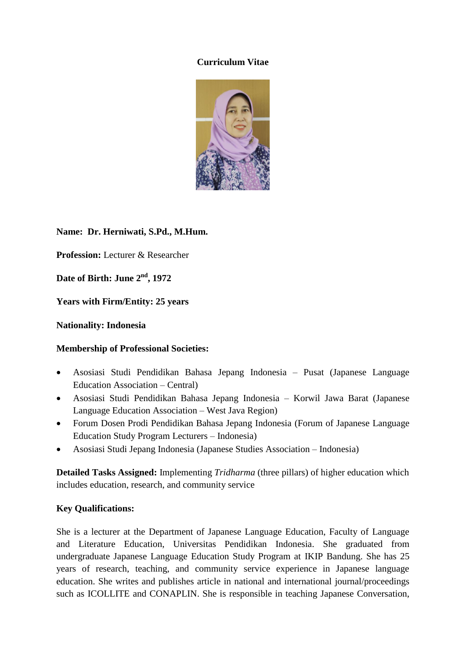#### **Curriculum Vitae**



**Name: Dr. Herniwati, S.Pd., M.Hum.**

**Profession:** Lecturer & Researcher

**Date of Birth: June 2 nd, 1972**

**Years with Firm/Entity: 25 years**

#### **Nationality: Indonesia**

## **Membership of Professional Societies:**

- Asosiasi Studi Pendidikan Bahasa Jepang Indonesia Pusat (Japanese Language Education Association – Central)
- Asosiasi Studi Pendidikan Bahasa Jepang Indonesia Korwil Jawa Barat (Japanese Language Education Association – West Java Region)
- Forum Dosen Prodi Pendidikan Bahasa Jepang Indonesia (Forum of Japanese Language Education Study Program Lecturers – Indonesia)
- Asosiasi Studi Jepang Indonesia (Japanese Studies Association Indonesia)

**Detailed Tasks Assigned:** Implementing *Tridharma* (three pillars) of higher education which includes education, research, and community service

## **Key Qualifications:**

She is a lecturer at the Department of Japanese Language Education, Faculty of Language and Literature Education, Universitas Pendidikan Indonesia. She graduated from undergraduate Japanese Language Education Study Program at IKIP Bandung. She has 25 years of research, teaching, and community service experience in Japanese language education. She writes and publishes article in national and international journal/proceedings such as ICOLLITE and CONAPLIN. She is responsible in teaching Japanese Conversation,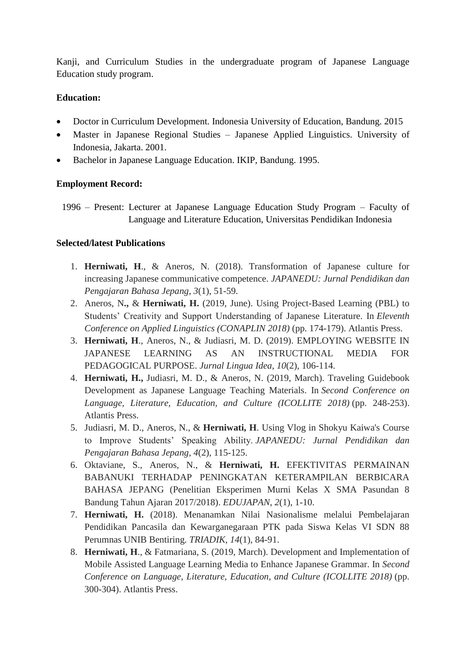Kanji, and Curriculum Studies in the undergraduate program of Japanese Language Education study program.

# **Education:**

- Doctor in Curriculum Development. Indonesia University of Education, Bandung. 2015
- Master in Japanese Regional Studies Japanese Applied Linguistics. University of Indonesia, Jakarta. 2001.
- Bachelor in Japanese Language Education. IKIP, Bandung. 1995.

## **Employment Record:**

1996 – Present: Lecturer at Japanese Language Education Study Program – Faculty of Language and Literature Education, Universitas Pendidikan Indonesia

# **Selected/latest Publications**

- 1. **Herniwati, H**., & Aneros, N. (2018). Transformation of Japanese culture for increasing Japanese communicative competence. *JAPANEDU: Jurnal Pendidikan dan Pengajaran Bahasa Jepang*, *3*(1), 51-59.
- 2. Aneros, N**.,** & **Herniwati, H.** (2019, June). Using Project-Based Learning (PBL) to Students' Creativity and Support Understanding of Japanese Literature. In *Eleventh Conference on Applied Linguistics (CONAPLIN 2018)* (pp. 174-179). Atlantis Press.
- 3. **Herniwati, H**., Aneros, N., & Judiasri, M. D. (2019). EMPLOYING WEBSITE IN JAPANESE LEARNING AS AN INSTRUCTIONAL MEDIA FOR PEDAGOGICAL PURPOSE. *Jurnal Lingua Idea*, *10*(2), 106-114.
- 4. **Herniwati, H.,** Judiasri, M. D., & Aneros, N. (2019, March). Traveling Guidebook Development as Japanese Language Teaching Materials. In *Second Conference on Language, Literature, Education, and Culture (ICOLLITE 2018)* (pp. 248-253). Atlantis Press.
- 5. Judiasri, M. D., Aneros, N., & **Herniwati, H**. Using Vlog in Shokyu Kaiwa's Course to Improve Students' Speaking Ability. *JAPANEDU: Jurnal Pendidikan dan Pengajaran Bahasa Jepang*, *4*(2), 115-125.
- 6. Oktaviane, S., Aneros, N., & **Herniwati, H.** EFEKTIVITAS PERMAINAN BABANUKI TERHADAP PENINGKATAN KETERAMPILAN BERBICARA BAHASA JEPANG (Penelitian Eksperimen Murni Kelas X SMA Pasundan 8 Bandung Tahun Ajaran 2017/2018). *EDUJAPAN*, *2*(1), 1-10.
- 7. **Herniwati, H.** (2018). Menanamkan Nilai Nasionalisme melalui Pembelajaran Pendidikan Pancasila dan Kewarganegaraan PTK pada Siswa Kelas VI SDN 88 Perumnas UNIB Bentiring. *TRIADIK*, *14*(1), 84-91.
- 8. **Herniwati, H**., & Fatmariana, S. (2019, March). Development and Implementation of Mobile Assisted Language Learning Media to Enhance Japanese Grammar. In *Second Conference on Language, Literature, Education, and Culture (ICOLLITE 2018)* (pp. 300-304). Atlantis Press.